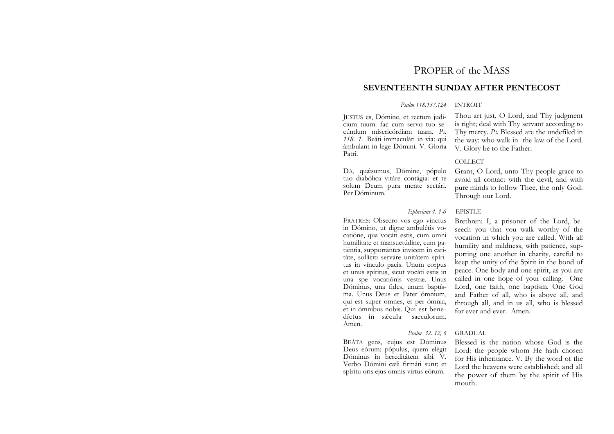# PROPER of the MASS

## **SEVENTEENTH SUNDAY AFTER PENTECOST**

### *Psalm 118.137,124* INTROIT

JUSTUS es, Dómine, et rectum judícium tuum: fac cum servo tuo secúndum misericórdiam tuam. *Ps. 118. 1.* Beáti immaculáti in via: qui ámbulant in lege Dómini. V. Gloria Patri.

DA, quásumus, Dómine, pópulo tuo diabólica vitáre contágia: et te solum Deum pura mente sectári. Per Dóminum.

Thou art just, O Lord, and Thy judgment is right; deal with Thy servant according to Thy mercy. *Ps.* Blessed are the undefiled in the way: who walk in the law of the Lord. V. Glory be to the Father.

### COLLECT

Grant, O Lord, unto Thy people grace to avoid all contact with the devil, and with pure minds to follow Thee, the only God.

### *Ephesians 4. 1-6* EPISTLE

FRATRES: Obsecro vos ego vinctus in Dómino, ut digne ambulétis vocatióne, qua vocáti estis, cum omni humilitate et mansuetúdine, cum patiéntia, supportántes ínvicem in caritáte, sollíciti serváre unitátem spíritus in vínculo pacis. Unum corpus et unus spíritus, sicut vocáti estis in una spe vocatiónis vestræ. Unus Dóminus, una fides, unum baptísma. Unus Deus et Pater ómnium, qui est super omnes, et per ómnia, et in ómnibus nobis. Qui est benedíctus in sǽcula saeculorum. Amen.

BEÁTA gens, cujus est Dóminus Deus eórum: pópulus, quem elégit Dóminus in hereditátem sibi. V. Verbo Dómini cæli firmáti sunt: et spíritu oris ejus omnis virtus eórum.

Through our Lord. Brethren: I, a prisoner of the Lord, be-

seech you that you walk worthy of the vocation in which you are called. With all humility and mildness, with patience, supporting one another in charity, careful to keep the unity of the Spirit in the bond of peace. One body and one spirit, as you are called in one hope of your calling. One Lord, one faith, one baptism. One God and Father of all, who is above all, and through all, and in us all, who is blessed for ever and ever. Amen.

## *Psalm 32. 12, 6* GRADUAL

Blessed is the nation whose God is the Lord: the people whom He hath chosen for His inheritance. V. By the word of the Lord the heavens were established; and all the power of them by the spirit of His mouth.